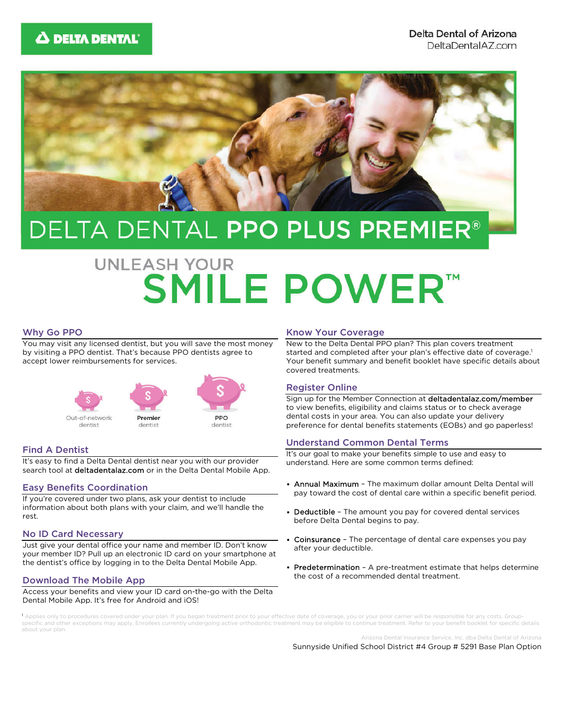

## DELTA DENTAL PPO PLUS PREMIER®

# **UNLEASH YOUR SMILE POWER™**

## Why Go PPO

You may visit any licensed dentist, but you will save the most money by visiting a PPO dentist. That's because PPO dentists agree to accept lower reimbursements for services.



## Find A Dentist

It's easy to find a Delta Dental dentist near you with our provider search tool at deltadentalaz.com or in the Delta Dental Mobile App.

#### Easy Benefits Coordination

If you're covered under two plans, ask your dentist to include information about both plans with your claim, and we'll handle the rest.

#### No ID Card Necessary

Just give your dental office your name and member ID. Don't know your member ID? Pull up an electronic ID card on your smartphone at the dentist's office by logging in to the Delta Dental Mobile App.

#### Download The Mobile App

Access your benefits and view your ID card on-the-go with the Delta Dental Mobile App. It's free for Android and iOS!

#### Know Your Coverage

New to the Delta Dental PPO plan? This plan covers treatment started and completed after your plan's effective date of coverage.<sup>1</sup> Your benefit summary and benefit booklet have specific details about covered treatments.

#### Register Online

Sign up for the Member Connection at deltadentalaz.com/member to view benefits, eligibility and claims status or to check average dental costs in your area. You can also update your delivery preference for dental benefits statements (EOBs) and go paperless!

#### Understand Common Dental Terms

It's our goal to make your benefits simple to use and easy to understand. Here are some common terms defined:

- Annual Maximum The maximum dollar amount Delta Dental will pay toward the cost of dental care within a specific benefit period.
- Deductible The amount you pay for covered dental services before Delta Dental begins to pay.
- Coinsurance The percentage of dental care expenses you pay after your deductible.
- Predetermination A pre-treatment estimate that helps determine the cost of a recommended dental treatment.

ies only to procedures covered under your plan. If you began treatment prior to your effective date of coverage, you or your prior carrier will be responsible for any costs. Groupspecific and other exceptions may apply. Enrollees currently undergoing active orthodontic treatment may be eligible to continue treatment. Refer to your benefit booklet for specific details about your plan.

Arizona Dental Insurance Service, Inc. dba Delta Dental of Arizona

Sunnyside Unified School District #4 Group # 5291 Base Plan Option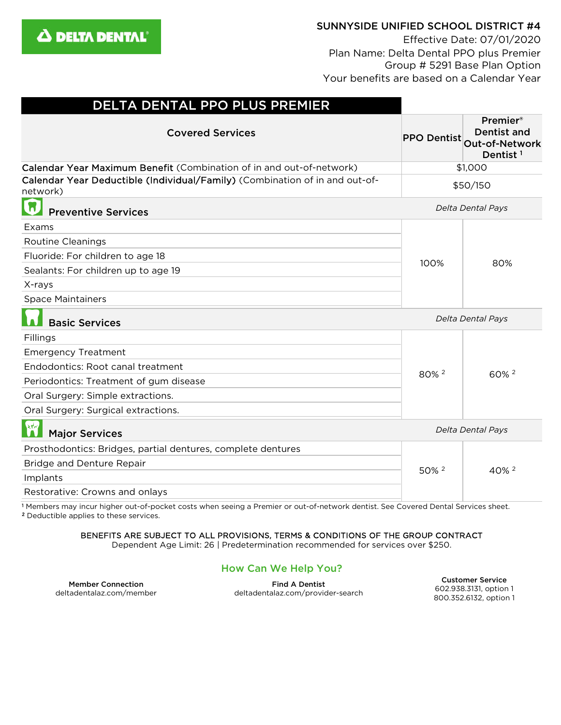

## SUNNYSIDE UNIFIED SCHOOL DISTRICT #4

Effective Date: 07/01/2020 Plan Name: Delta Dental PPO plus Premier Group # 5291 Base Plan Option Your benefits are based on a Calendar Year

| DELTA DENTAL PPO PLUS PREMIER                                                                                                                 |                    |                                                                                 |
|-----------------------------------------------------------------------------------------------------------------------------------------------|--------------------|---------------------------------------------------------------------------------|
| <b>Covered Services</b>                                                                                                                       | <b>PPO Dentist</b> | <b>Premier®</b><br><b>Dentist and</b><br>Out-of-Network<br>Dentist <sup>1</sup> |
| Calendar Year Maximum Benefit (Combination of in and out-of-network)                                                                          | \$1,000            |                                                                                 |
| Calendar Year Deductible (Individual/Family) (Combination of in and out-of-<br>network)                                                       | \$50/150           |                                                                                 |
| π<br><b>Preventive Services</b>                                                                                                               | Delta Dental Pays  |                                                                                 |
| Exams                                                                                                                                         |                    | 80%                                                                             |
| <b>Routine Cleanings</b>                                                                                                                      | 100%               |                                                                                 |
| Fluoride: For children to age 18                                                                                                              |                    |                                                                                 |
| Sealants: For children up to age 19                                                                                                           |                    |                                                                                 |
| X-rays                                                                                                                                        |                    |                                                                                 |
| <b>Space Maintainers</b>                                                                                                                      |                    |                                                                                 |
| <b>Basic Services</b>                                                                                                                         | Delta Dental Pays  |                                                                                 |
| Fillings                                                                                                                                      | 80% 2              | 60% <sup>2</sup>                                                                |
| <b>Emergency Treatment</b>                                                                                                                    |                    |                                                                                 |
| Endodontics: Root canal treatment                                                                                                             |                    |                                                                                 |
| Periodontics: Treatment of gum disease                                                                                                        |                    |                                                                                 |
| Oral Surgery: Simple extractions.                                                                                                             |                    |                                                                                 |
| Oral Surgery: Surgical extractions.                                                                                                           |                    |                                                                                 |
| $\mathbf{R}$<br><b>Major Services</b>                                                                                                         | Delta Dental Pays  |                                                                                 |
| Prosthodontics: Bridges, partial dentures, complete dentures                                                                                  | 50% 2              | 40% <sup>2</sup>                                                                |
| <b>Bridge and Denture Repair</b>                                                                                                              |                    |                                                                                 |
| Implants                                                                                                                                      |                    |                                                                                 |
| Restorative: Crowns and onlays                                                                                                                |                    |                                                                                 |
| <sup>1</sup> Members may incur higher out-of-pocket costs when seeing a Premier or out-of-network dentist. See Covered Dental Services sheet. |                    |                                                                                 |

<sup>2</sup> Deductible applies to these services.

## BENEFITS ARE SUBJECT TO ALL PROVISIONS, TERMS & CONDITIONS OF THE GROUP CONTRACT

Dependent Age Limit: 26 | Predetermination recommended for services over \$250.

## How Can We Help You?

Member Connection deltadentalaz.com/member

Find A Dentist deltadentalaz.com/provider-search

Customer Service 602.938.3131, option 1 800.352.6132, option 1